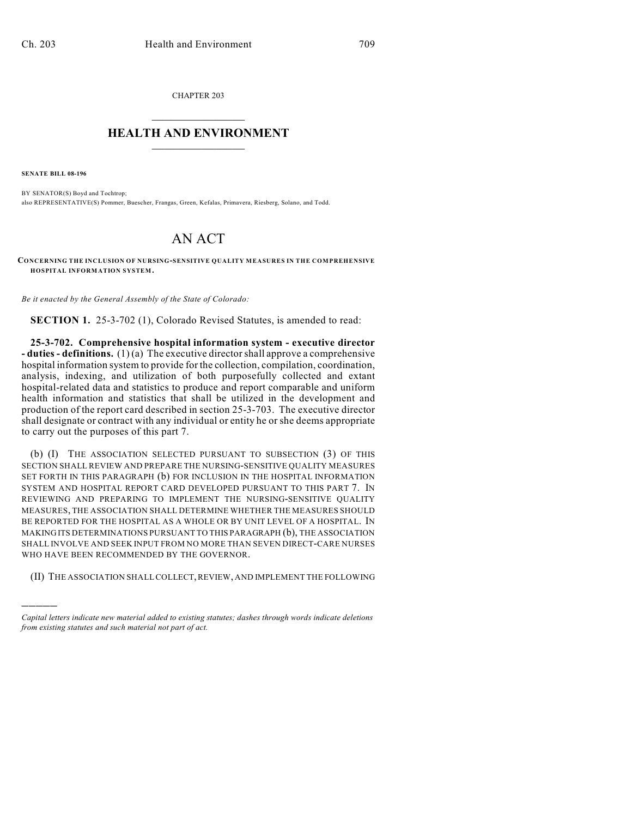CHAPTER 203  $\mathcal{L}_\text{max}$  . The set of the set of the set of the set of the set of the set of the set of the set of the set of the set of the set of the set of the set of the set of the set of the set of the set of the set of the set

## **HEALTH AND ENVIRONMENT**  $\_$

**SENATE BILL 08-196**

)))))

BY SENATOR(S) Boyd and Tochtrop; also REPRESENTATIVE(S) Pommer, Buescher, Frangas, Green, Kefalas, Primavera, Riesberg, Solano, and Todd.

## AN ACT

**CONCERNING THE INCLUSION OF NURSING-SENSITIVE QUALITY MEASURES IN THE COMPREHENSIVE HOSPITAL INFORMATION SYSTEM.**

*Be it enacted by the General Assembly of the State of Colorado:*

**SECTION 1.** 25-3-702 (1), Colorado Revised Statutes, is amended to read:

**25-3-702. Comprehensive hospital information system - executive director - duties - definitions.** (1) (a) The executive director shall approve a comprehensive hospital information system to provide for the collection, compilation, coordination, analysis, indexing, and utilization of both purposefully collected and extant hospital-related data and statistics to produce and report comparable and uniform health information and statistics that shall be utilized in the development and production of the report card described in section 25-3-703. The executive director shall designate or contract with any individual or entity he or she deems appropriate to carry out the purposes of this part 7.

(b) (I) THE ASSOCIATION SELECTED PURSUANT TO SUBSECTION (3) OF THIS SECTION SHALL REVIEW AND PREPARE THE NURSING-SENSITIVE QUALITY MEASURES SET FORTH IN THIS PARAGRAPH (b) FOR INCLUSION IN THE HOSPITAL INFORMATION SYSTEM AND HOSPITAL REPORT CARD DEVELOPED PURSUANT TO THIS PART 7. IN REVIEWING AND PREPARING TO IMPLEMENT THE NURSING-SENSITIVE QUALITY MEASURES, THE ASSOCIATION SHALL DETERMINE WHETHER THE MEASURES SHOULD BE REPORTED FOR THE HOSPITAL AS A WHOLE OR BY UNIT LEVEL OF A HOSPITAL. IN MAKING ITS DETERMINATIONS PURSUANT TO THIS PARAGRAPH (b), THE ASSOCIATION SHALL INVOLVE AND SEEK INPUT FROM NO MORE THAN SEVEN DIRECT-CARE NURSES WHO HAVE BEEN RECOMMENDED BY THE GOVERNOR.

(II) THE ASSOCIATION SHALL COLLECT, REVIEW, AND IMPLEMENT THE FOLLOWING

*Capital letters indicate new material added to existing statutes; dashes through words indicate deletions from existing statutes and such material not part of act.*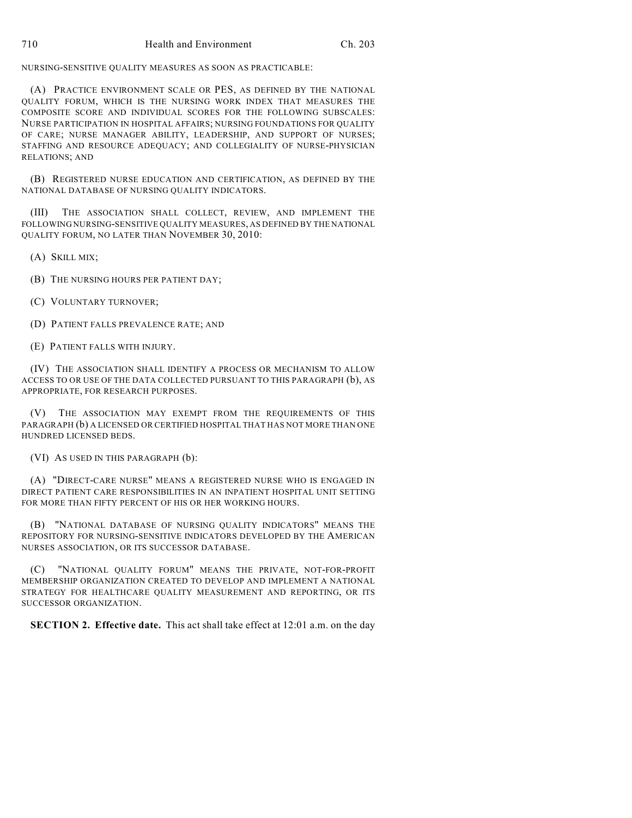NURSING-SENSITIVE QUALITY MEASURES AS SOON AS PRACTICABLE:

(A) PRACTICE ENVIRONMENT SCALE OR PES, AS DEFINED BY THE NATIONAL QUALITY FORUM, WHICH IS THE NURSING WORK INDEX THAT MEASURES THE COMPOSITE SCORE AND INDIVIDUAL SCORES FOR THE FOLLOWING SUBSCALES: NURSE PARTICIPATION IN HOSPITAL AFFAIRS; NURSING FOUNDATIONS FOR QUALITY OF CARE; NURSE MANAGER ABILITY, LEADERSHIP, AND SUPPORT OF NURSES; STAFFING AND RESOURCE ADEQUACY; AND COLLEGIALITY OF NURSE-PHYSICIAN RELATIONS; AND

(B) REGISTERED NURSE EDUCATION AND CERTIFICATION, AS DEFINED BY THE NATIONAL DATABASE OF NURSING QUALITY INDICATORS.

(III) THE ASSOCIATION SHALL COLLECT, REVIEW, AND IMPLEMENT THE FOLLOWING NURSING-SENSITIVE QUALITY MEASURES, AS DEFINED BY THE NATIONAL QUALITY FORUM, NO LATER THAN NOVEMBER 30, 2010:

(A) SKILL MIX;

(B) THE NURSING HOURS PER PATIENT DAY;

(C) VOLUNTARY TURNOVER;

(D) PATIENT FALLS PREVALENCE RATE; AND

(E) PATIENT FALLS WITH INJURY.

(IV) THE ASSOCIATION SHALL IDENTIFY A PROCESS OR MECHANISM TO ALLOW ACCESS TO OR USE OF THE DATA COLLECTED PURSUANT TO THIS PARAGRAPH (b), AS APPROPRIATE, FOR RESEARCH PURPOSES.

(V) THE ASSOCIATION MAY EXEMPT FROM THE REQUIREMENTS OF THIS PARAGRAPH (b) A LICENSED OR CERTIFIED HOSPITAL THAT HAS NOT MORE THAN ONE HUNDRED LICENSED BEDS.

(VI) AS USED IN THIS PARAGRAPH (b):

(A) "DIRECT-CARE NURSE" MEANS A REGISTERED NURSE WHO IS ENGAGED IN DIRECT PATIENT CARE RESPONSIBILITIES IN AN INPATIENT HOSPITAL UNIT SETTING FOR MORE THAN FIFTY PERCENT OF HIS OR HER WORKING HOURS.

(B) "NATIONAL DATABASE OF NURSING QUALITY INDICATORS" MEANS THE REPOSITORY FOR NURSING-SENSITIVE INDICATORS DEVELOPED BY THE AMERICAN NURSES ASSOCIATION, OR ITS SUCCESSOR DATABASE.

"NATIONAL QUALITY FORUM" MEANS THE PRIVATE, NOT-FOR-PROFIT MEMBERSHIP ORGANIZATION CREATED TO DEVELOP AND IMPLEMENT A NATIONAL STRATEGY FOR HEALTHCARE QUALITY MEASUREMENT AND REPORTING, OR ITS SUCCESSOR ORGANIZATION.

**SECTION 2. Effective date.** This act shall take effect at 12:01 a.m. on the day